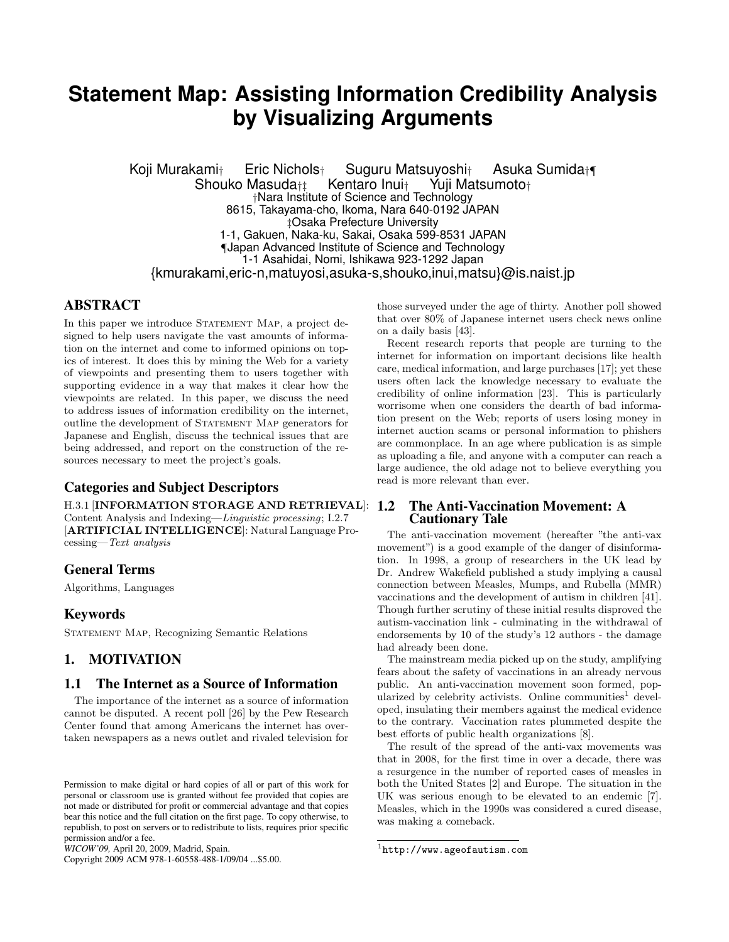# **Statement Map: Assisting Information Credibility Analysis by Visualizing Arguments**

Koji Murakami† Eric Nichols† Suguru Matsuyoshi† Asuka Sumida†¶ Shouko Masuda†‡ Kentaro Inui† Yuji Matsumoto† †Nara Institute of Science and Technology 8615, Takayama-cho, Ikoma, Nara 640-0192 JAPAN ‡Osaka Prefecture University 1-1, Gakuen, Naka-ku, Sakai, Osaka 599-8531 JAPAN ¶Japan Advanced Institute of Science and Technology 1-1 Asahidai, Nomi, Ishikawa 923-1292 Japan {kmurakami,eric-n,matuyosi,asuka-s,shouko,inui,matsu}@is.naist.jp

# ABSTRACT

In this paper we introduce STATEMENT MAP, a project designed to help users navigate the vast amounts of information on the internet and come to informed opinions on topics of interest. It does this by mining the Web for a variety of viewpoints and presenting them to users together with supporting evidence in a way that makes it clear how the viewpoints are related. In this paper, we discuss the need to address issues of information credibility on the internet, outline the development of Statement Map generators for Japanese and English, discuss the technical issues that are being addressed, and report on the construction of the resources necessary to meet the project's goals.

# Categories and Subject Descriptors

H.3.1 [INFORMATION STORAGE AND RETRIEVAL]: 1.2 Content Analysis and Indexing—Linguistic processing; I.2.7 [ARTIFICIAL INTELLIGENCE]: Natural Language Processing—Text analysis

#### General Terms

Algorithms, Languages

#### Keywords

STATEMENT MAP, Recognizing Semantic Relations

# 1. MOTIVATION

#### 1.1 The Internet as a Source of Information

The importance of the internet as a source of information cannot be disputed. A recent poll [26] by the Pew Research Center found that among Americans the internet has overtaken newspapers as a news outlet and rivaled television for those surveyed under the age of thirty. Another poll showed that over 80% of Japanese internet users check news online on a daily basis [43].

Recent research reports that people are turning to the internet for information on important decisions like health care, medical information, and large purchases [17]; yet these users often lack the knowledge necessary to evaluate the credibility of online information [23]. This is particularly worrisome when one considers the dearth of bad information present on the Web; reports of users losing money in internet auction scams or personal information to phishers are commonplace. In an age where publication is as simple as uploading a file, and anyone with a computer can reach a large audience, the old adage not to believe everything you read is more relevant than ever.

#### The Anti-Vaccination Movement: A Cautionary Tale

The anti-vaccination movement (hereafter "the anti-vax movement") is a good example of the danger of disinformation. In 1998, a group of researchers in the UK lead by Dr. Andrew Wakefield published a study implying a causal connection between Measles, Mumps, and Rubella (MMR) vaccinations and the development of autism in children [41]. Though further scrutiny of these initial results disproved the autism-vaccination link - culminating in the withdrawal of endorsements by 10 of the study's 12 authors - the damage had already been done.

The mainstream media picked up on the study, amplifying fears about the safety of vaccinations in an already nervous public. An anti-vaccination movement soon formed, popularized by celebrity activists. Online communities<sup>1</sup> developed, insulating their members against the medical evidence to the contrary. Vaccination rates plummeted despite the best efforts of public health organizations [8].

The result of the spread of the anti-vax movements was that in 2008, for the first time in over a decade, there was a resurgence in the number of reported cases of measles in both the United States [2] and Europe. The situation in the UK was serious enough to be elevated to an endemic [7]. Measles, which in the 1990s was considered a cured disease, was making a comeback.

Permission to make digital or hard copies of all or part of this work for personal or classroom use is granted without fee provided that copies are not made or distributed for profit or commercial advantage and that copies bear this notice and the full citation on the first page. To copy otherwise, to republish, to post on servers or to redistribute to lists, requires prior specific permission and/or a fee.

*WICOW'09,* April 20, 2009, Madrid, Spain.

Copyright 2009 ACM 978-1-60558-488-1/09/04 ...\$5.00.

<sup>1</sup> http://www.ageofautism.com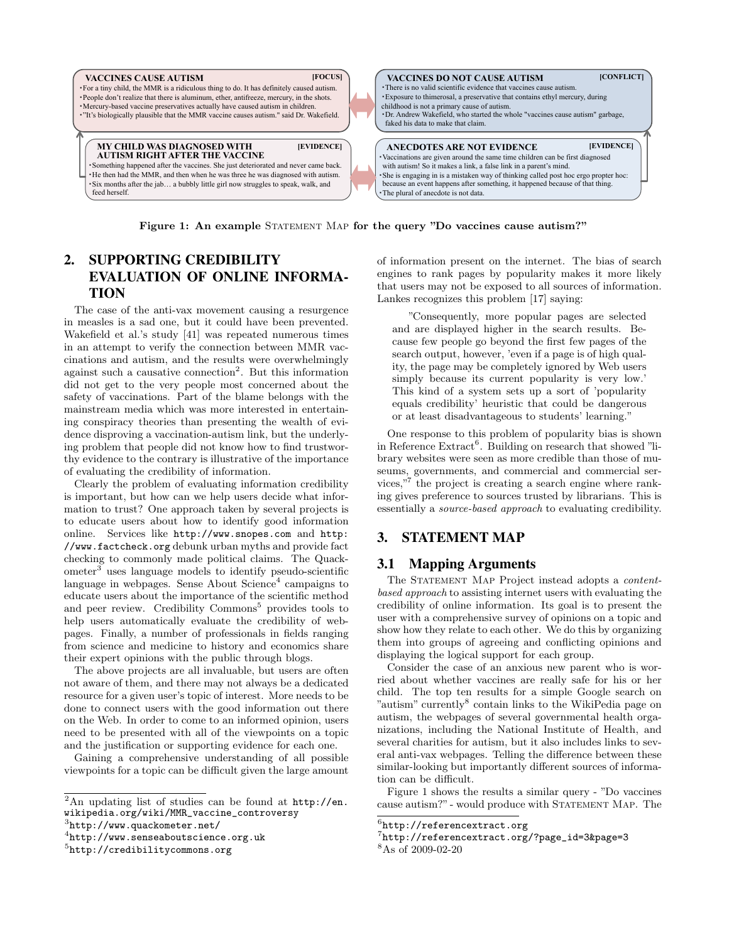

Figure 1: An example STATEMENT MAP for the query "Do vaccines cause autism?"

# 2. SUPPORTING CREDIBILITY EVALUATION OF ONLINE INFORMA-**TION**

The case of the anti-vax movement causing a resurgence in measles is a sad one, but it could have been prevented. Wakefield et al.'s study [41] was repeated numerous times in an attempt to verify the connection between MMR vaccinations and autism, and the results were overwhelmingly against such a causative connection<sup>2</sup>. But this information did not get to the very people most concerned about the safety of vaccinations. Part of the blame belongs with the mainstream media which was more interested in entertaining conspiracy theories than presenting the wealth of evidence disproving a vaccination-autism link, but the underlying problem that people did not know how to find trustworthy evidence to the contrary is illustrative of the importance of evaluating the credibility of information.

Clearly the problem of evaluating information credibility is important, but how can we help users decide what information to trust? One approach taken by several projects is to educate users about how to identify good information online. Services like http://www.snopes.com and http: //www.factcheck.org debunk urban myths and provide fact checking to commonly made political claims. The Quackometer<sup>3</sup> uses language models to identify pseudo-scientific language in webpages. Sense About Science<sup>4</sup> campaigns to educate users about the importance of the scientific method and peer review. Credibility Commons<sup>5</sup> provides tools to help users automatically evaluate the credibility of webpages. Finally, a number of professionals in fields ranging from science and medicine to history and economics share their expert opinions with the public through blogs.

The above projects are all invaluable, but users are often not aware of them, and there may not always be a dedicated resource for a given user's topic of interest. More needs to be done to connect users with the good information out there on the Web. In order to come to an informed opinion, users need to be presented with all of the viewpoints on a topic and the justification or supporting evidence for each one.

Gaining a comprehensive understanding of all possible viewpoints for a topic can be difficult given the large amount

of information present on the internet. The bias of search engines to rank pages by popularity makes it more likely that users may not be exposed to all sources of information. Lankes recognizes this problem [17] saying:

"Consequently, more popular pages are selected and are displayed higher in the search results. Because few people go beyond the first few pages of the search output, however, 'even if a page is of high quality, the page may be completely ignored by Web users simply because its current popularity is very low.' This kind of a system sets up a sort of 'popularity equals credibility' heuristic that could be dangerous or at least disadvantageous to students' learning."

One response to this problem of popularity bias is shown in Reference Extract<sup>6</sup>. Building on research that showed "library websites were seen as more credible than those of museums, governments, and commercial and commercial services,"<sup>7</sup> the project is creating a search engine where ranking gives preference to sources trusted by librarians. This is essentially a source-based approach to evaluating credibility.

# 3. STATEMENT MAP

# 3.1 Mapping Arguments

The STATEMENT MAP Project instead adopts a *content*based approach to assisting internet users with evaluating the credibility of online information. Its goal is to present the user with a comprehensive survey of opinions on a topic and show how they relate to each other. We do this by organizing them into groups of agreeing and conflicting opinions and displaying the logical support for each group.

Consider the case of an anxious new parent who is worried about whether vaccines are really safe for his or her child. The top ten results for a simple Google search on "autism" currently<sup>8</sup> contain links to the WikiPedia page on autism, the webpages of several governmental health organizations, including the National Institute of Health, and several charities for autism, but it also includes links to several anti-vax webpages. Telling the difference between these similar-looking but importantly different sources of information can be difficult.

Figure 1 shows the results a similar query - "Do vaccines cause autism?" - would produce with STATEMENT MAP. The

<sup>2</sup>An updating list of studies can be found at http://en. wikipedia.org/wiki/MMR\_vaccine\_controversy

<sup>3</sup> http://www.quackometer.net/

<sup>4</sup> http://www.senseaboutscience.org.uk

<sup>5</sup> http://credibilitycommons.org

 $^6$ http://referencextract.org

<sup>7</sup> http://referencextract.org/?page\_id=3&page=3 <sup>8</sup>As of 2009-02-20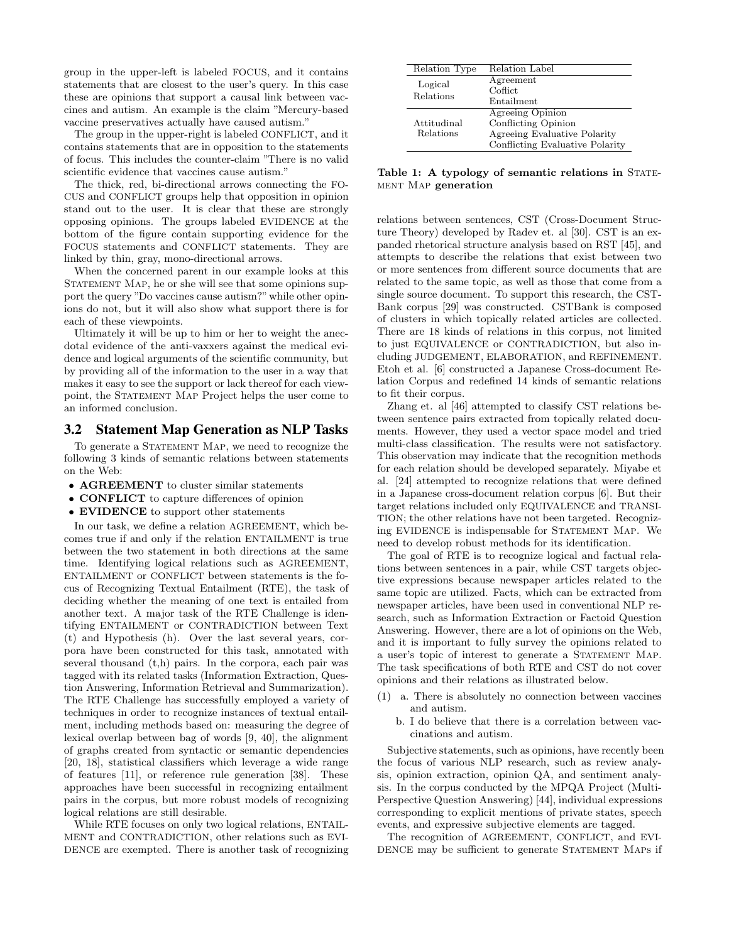group in the upper-left is labeled FOCUS, and it contains statements that are closest to the user's query. In this case these are opinions that support a causal link between vaccines and autism. An example is the claim "Mercury-based vaccine preservatives actually have caused autism."

The group in the upper-right is labeled CONFLICT, and it contains statements that are in opposition to the statements of focus. This includes the counter-claim "There is no valid scientific evidence that vaccines cause autism."

The thick, red, bi-directional arrows connecting the FO-CUS and CONFLICT groups help that opposition in opinion stand out to the user. It is clear that these are strongly opposing opinions. The groups labeled EVIDENCE at the bottom of the figure contain supporting evidence for the FOCUS statements and CONFLICT statements. They are linked by thin, gray, mono-directional arrows.

When the concerned parent in our example looks at this STATEMENT MAP, he or she will see that some opinions support the query "Do vaccines cause autism?"while other opinions do not, but it will also show what support there is for each of these viewpoints.

Ultimately it will be up to him or her to weight the anecdotal evidence of the anti-vaxxers against the medical evidence and logical arguments of the scientific community, but by providing all of the information to the user in a way that makes it easy to see the support or lack thereof for each viewpoint, the STATEMENT MAP Project helps the user come to an informed conclusion.

#### 3.2 Statement Map Generation as NLP Tasks

To generate a STATEMENT MAP, we need to recognize the following 3 kinds of semantic relations between statements on the Web:

- AGREEMENT to cluster similar statements
- CONFLICT to capture differences of opinion
- EVIDENCE to support other statements

In our task, we define a relation AGREEMENT, which becomes true if and only if the relation ENTAILMENT is true between the two statement in both directions at the same time. Identifying logical relations such as AGREEMENT, ENTAILMENT or CONFLICT between statements is the focus of Recognizing Textual Entailment (RTE), the task of deciding whether the meaning of one text is entailed from another text. A major task of the RTE Challenge is identifying ENTAILMENT or CONTRADICTION between Text (t) and Hypothesis (h). Over the last several years, corpora have been constructed for this task, annotated with several thousand (t,h) pairs. In the corpora, each pair was tagged with its related tasks (Information Extraction, Question Answering, Information Retrieval and Summarization). The RTE Challenge has successfully employed a variety of techniques in order to recognize instances of textual entailment, including methods based on: measuring the degree of lexical overlap between bag of words [9, 40], the alignment of graphs created from syntactic or semantic dependencies [20, 18], statistical classifiers which leverage a wide range of features [11], or reference rule generation [38]. These approaches have been successful in recognizing entailment pairs in the corpus, but more robust models of recognizing logical relations are still desirable.

While RTE focuses on only two logical relations, ENTAIL-MENT and CONTRADICTION, other relations such as EVI-DENCE are exempted. There is another task of recognizing

| Relation Type            | Relation Label                  |
|--------------------------|---------------------------------|
| Logical<br>Relations     | Agreement                       |
|                          | Coffict                         |
|                          | Entailment                      |
| Attitudinal<br>Relations | Agreeing Opinion                |
|                          | Conflicting Opinion             |
|                          | Agreeing Evaluative Polarity    |
|                          | Conflicting Evaluative Polarity |

Table 1: A typology of semantic relations in STATE-MENT MAP generation

relations between sentences, CST (Cross-Document Structure Theory) developed by Radev et. al [30]. CST is an expanded rhetorical structure analysis based on RST [45], and attempts to describe the relations that exist between two or more sentences from different source documents that are related to the same topic, as well as those that come from a single source document. To support this research, the CST-Bank corpus [29] was constructed. CSTBank is composed of clusters in which topically related articles are collected. There are 18 kinds of relations in this corpus, not limited to just EQUIVALENCE or CONTRADICTION, but also including JUDGEMENT, ELABORATION, and REFINEMENT. Etoh et al. [6] constructed a Japanese Cross-document Relation Corpus and redefined 14 kinds of semantic relations to fit their corpus.

Zhang et. al [46] attempted to classify CST relations between sentence pairs extracted from topically related documents. However, they used a vector space model and tried multi-class classification. The results were not satisfactory. This observation may indicate that the recognition methods for each relation should be developed separately. Miyabe et al. [24] attempted to recognize relations that were defined in a Japanese cross-document relation corpus [6]. But their target relations included only EQUIVALENCE and TRANSI-TION; the other relations have not been targeted. Recognizing EVIDENCE is indispensable for STATEMENT MAP. We need to develop robust methods for its identification.

The goal of RTE is to recognize logical and factual relations between sentences in a pair, while CST targets objective expressions because newspaper articles related to the same topic are utilized. Facts, which can be extracted from newspaper articles, have been used in conventional NLP research, such as Information Extraction or Factoid Question Answering. However, there are a lot of opinions on the Web, and it is important to fully survey the opinions related to a user's topic of interest to generate a STATEMENT MAP. The task specifications of both RTE and CST do not cover opinions and their relations as illustrated below.

- (1) a. There is absolutely no connection between vaccines and autism.
	- b. I do believe that there is a correlation between vaccinations and autism.

Subjective statements, such as opinions, have recently been the focus of various NLP research, such as review analysis, opinion extraction, opinion QA, and sentiment analysis. In the corpus conducted by the MPQA Project (Multi-Perspective Question Answering) [44], individual expressions corresponding to explicit mentions of private states, speech events, and expressive subjective elements are tagged.

The recognition of AGREEMENT, CONFLICT, and EVI-DENCE may be sufficient to generate STATEMENT MAPS if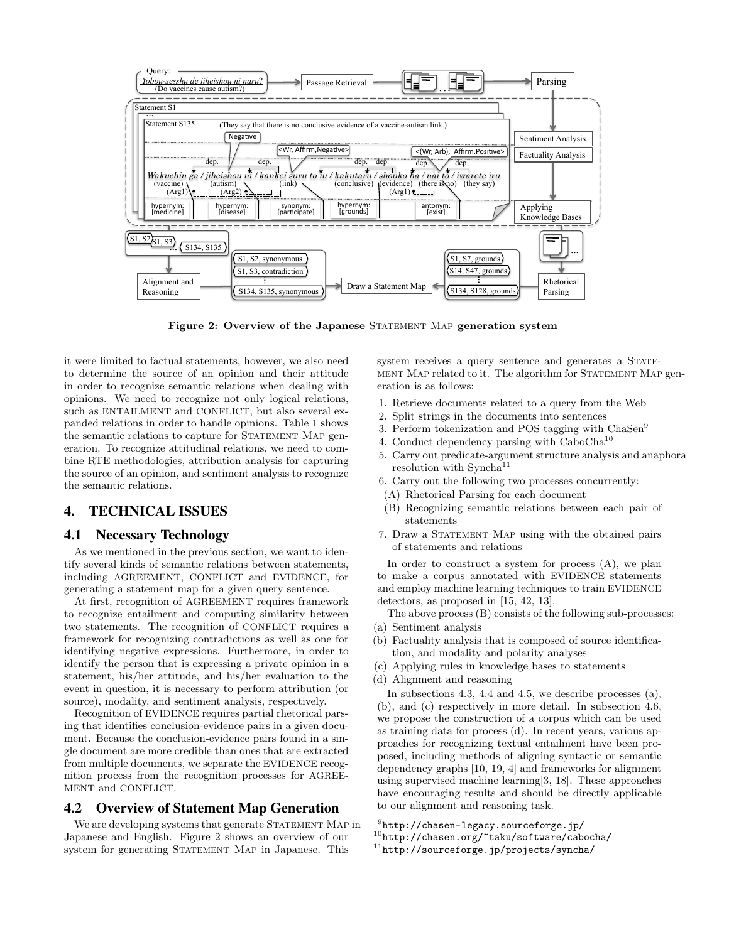

Figure 2: Overview of the Japanese STATEMENT MAP generation system

it were limited to factual statements, however, we also need to determine the source of an opinion and their attitude in order to recognize semantic relations when dealing with opinions. We need to recognize not only logical relations, such as ENTAILMENT and CONFLICT, but also several expanded relations in order to handle opinions. Table 1 shows the semantic relations to capture for STATEMENT MAP generation. To recognize attitudinal relations, we need to combine RTE methodologies, attribution analysis for capturing the source of an opinion, and sentiment analysis to recognize the semantic relations.

# 4. TECHNICAL ISSUES

### 4.1 Necessary Technology

As we mentioned in the previous section, we want to identify several kinds of semantic relations between statements, including AGREEMENT, CONFLICT and EVIDENCE, for generating a statement map for a given query sentence.

At first, recognition of AGREEMENT requires framework to recognize entailment and computing similarity between two statements. The recognition of CONFLICT requires a framework for recognizing contradictions as well as one for identifying negative expressions. Furthermore, in order to identify the person that is expressing a private opinion in a statement, his/her attitude, and his/her evaluation to the event in question, it is necessary to perform attribution (or source), modality, and sentiment analysis, respectively.

Recognition of EVIDENCE requires partial rhetorical parsing that identifies conclusion-evidence pairs in a given document. Because the conclusion-evidence pairs found in a single document are more credible than ones that are extracted from multiple documents, we separate the EVIDENCE recognition process from the recognition processes for AGREE-MENT and CONFLICT.

#### 4.2 Overview of Statement Map Generation

We are developing systems that generate STATEMENT MAP in Japanese and English. Figure 2 shows an overview of our system for generating STATEMENT MAP in Japanese. This

system receives a query sentence and generates a STATE-MENT MAP related to it. The algorithm for STATEMENT MAP generation is as follows:

- 1. Retrieve documents related to a query from the Web
- 2. Split strings in the documents into sentences
- 3. Perform tokenization and POS tagging with ChaSen<sup>9</sup>
- 4. Conduct dependency parsing with CaboCha<sup>10</sup>
- 5. Carry out predicate-argument structure analysis and anaphora resolution with Syncha<sup>11</sup>
- 6. Carry out the following two processes concurrently:
- (A) Rhetorical Parsing for each document
- (B) Recognizing semantic relations between each pair of statements
- 7. Draw a STATEMENT MAP using with the obtained pairs of statements and relations

In order to construct a system for process  $(A)$ , we plan to make a corpus annotated with EVIDENCE statements and employ machine learning techniques to train EVIDENCE detectors, as proposed in [15, 42, 13].

The above process (B) consists of the following sub-processes: (a) Sentiment analysis

- (b) Factuality analysis that is composed of source identification, and modality and polarity analyses
- (c) Applying rules in knowledge bases to statements
- (d) Alignment and reasoning

In subsections 4.3, 4.4 and 4.5, we describe processes (a), (b), and (c) respectively in more detail. In subsection 4.6, we propose the construction of a corpus which can be used as training data for process (d). In recent years, various approaches for recognizing textual entailment have been proposed, including methods of aligning syntactic or semantic dependency graphs [10, 19, 4] and frameworks for alignment using supervised machine learning[3, 18]. These approaches have encouraging results and should be directly applicable to our alignment and reasoning task.

 $^{9}$ http://chasen-legacy.sourceforge.jp/

 $^{10}$ http://chasen.org/~taku/software/cabocha/

 $11$ http://sourceforge.jp/projects/syncha/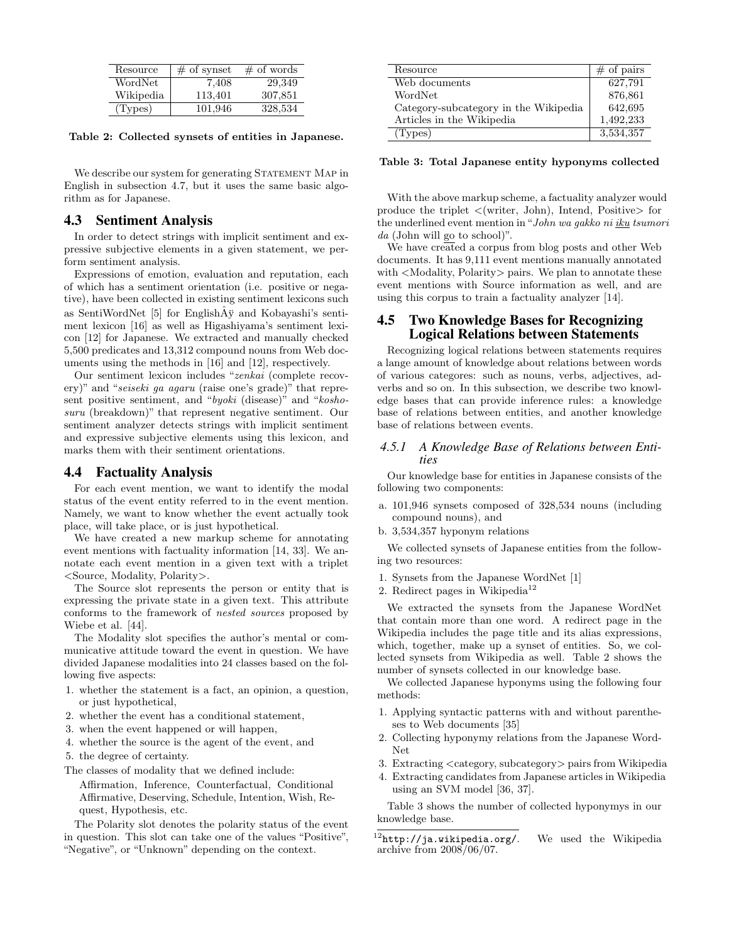| Resource  | $#$ of synset | $\#$ of words |
|-----------|---------------|---------------|
| WordNet   | 7,408         | 29.349        |
| Wikipedia | 113,401       | 307,851       |
| (Types)   | 101.946       | 328,534       |

Table 2: Collected synsets of entities in Japanese.

We describe our system for generating STATEMENT MAP in English in subsection 4.7, but it uses the same basic algorithm as for Japanese.

#### 4.3 Sentiment Analysis

In order to detect strings with implicit sentiment and expressive subjective elements in a given statement, we perform sentiment analysis.

Expressions of emotion, evaluation and reputation, each of which has a sentiment orientation (i.e. positive or negative), have been collected in existing sentiment lexicons such as SentiWordNet  $[5]$  for English $\hat{A}$ ÿ and Kobayashi's sentiment lexicon [16] as well as Higashiyama's sentiment lexicon [12] for Japanese. We extracted and manually checked 5,500 predicates and 13,312 compound nouns from Web documents using the methods in [16] and [12], respectively.

Our sentiment lexicon includes "zenkai (complete recovery)" and "seiseki ga agaru (raise one's grade)" that represent positive sentiment, and "byoki (disease)" and "koshosuru (breakdown)" that represent negative sentiment. Our sentiment analyzer detects strings with implicit sentiment and expressive subjective elements using this lexicon, and marks them with their sentiment orientations.

#### 4.4 Factuality Analysis

For each event mention, we want to identify the modal status of the event entity referred to in the event mention. Namely, we want to know whether the event actually took place, will take place, or is just hypothetical.

We have created a new markup scheme for annotating event mentions with factuality information [14, 33]. We annotate each event mention in a given text with a triplet <Source, Modality, Polarity>.

The Source slot represents the person or entity that is expressing the private state in a given text. This attribute conforms to the framework of nested sources proposed by Wiebe et al. [44].

The Modality slot specifies the author's mental or communicative attitude toward the event in question. We have divided Japanese modalities into 24 classes based on the following five aspects:

- 1. whether the statement is a fact, an opinion, a question, or just hypothetical,
- 2. whether the event has a conditional statement,
- 3. when the event happened or will happen,
- 4. whether the source is the agent of the event, and
- 5. the degree of certainty.

The classes of modality that we defined include:

Affirmation, Inference, Counterfactual, Conditional Affirmative, Deserving, Schedule, Intention, Wish, Request, Hypothesis, etc.

The Polarity slot denotes the polarity status of the event in question. This slot can take one of the values "Positive", "Negative", or "Unknown" depending on the context.

| Resource                              | $#$ of pairs |
|---------------------------------------|--------------|
| Web documents                         | 627,791      |
| WordNet                               | 876,861      |
| Category-subcategory in the Wikipedia | 642,695      |
| Articles in the Wikipedia             | 1,492,233    |
| (Types)                               | 3,534,357    |

Table 3: Total Japanese entity hyponyms collected

With the above markup scheme, a factuality analyzer would produce the triplet  $\langle$  (writer, John), Intend, Positive $>$  for the underlined event mention in "John wa gakko ni iku tsumori da (John will go to school)".

We have created a corpus from blog posts and other Web documents. It has 9,111 event mentions manually annotated with  $\langle$ Modality, Polarity $\rangle$  pairs. We plan to annotate these event mentions with Source information as well, and are using this corpus to train a factuality analyzer [14].

# 4.5 Two Knowledge Bases for Recognizing Logical Relations between Statements

Recognizing logical relations between statements requires a lange amount of knowledge about relations between words of various categores: such as nouns, verbs, adjectives, adverbs and so on. In this subsection, we describe two knowledge bases that can provide inference rules: a knowledge base of relations between entities, and another knowledge base of relations between events.

#### *4.5.1 A Knowledge Base of Relations between Entities*

Our knowledge base for entities in Japanese consists of the following two components:

- a. 101,946 synsets composed of 328,534 nouns (including compound nouns), and
- b. 3,534,357 hyponym relations

We collected synsets of Japanese entities from the following two resources:

- 1. Synsets from the Japanese WordNet [1]
- 2. Redirect pages in Wikipedia<sup>12</sup>

We extracted the synsets from the Japanese WordNet that contain more than one word. A redirect page in the Wikipedia includes the page title and its alias expressions, which, together, make up a synset of entities. So, we collected synsets from Wikipedia as well. Table 2 shows the number of synsets collected in our knowledge base.

We collected Japanese hyponyms using the following four methods:

- 1. Applying syntactic patterns with and without parentheses to Web documents [35]
- 2. Collecting hyponymy relations from the Japanese Word-Net
- 3. Extracting <category, subcategory> pairs from Wikipedia
- 4. Extracting candidates from Japanese articles in Wikipedia using an SVM model [36, 37].

Table 3 shows the number of collected hyponymys in our knowledge base.

 $12$ http://ja.wikipedia.org/. We used the Wikipedia archive from 2008/06/07.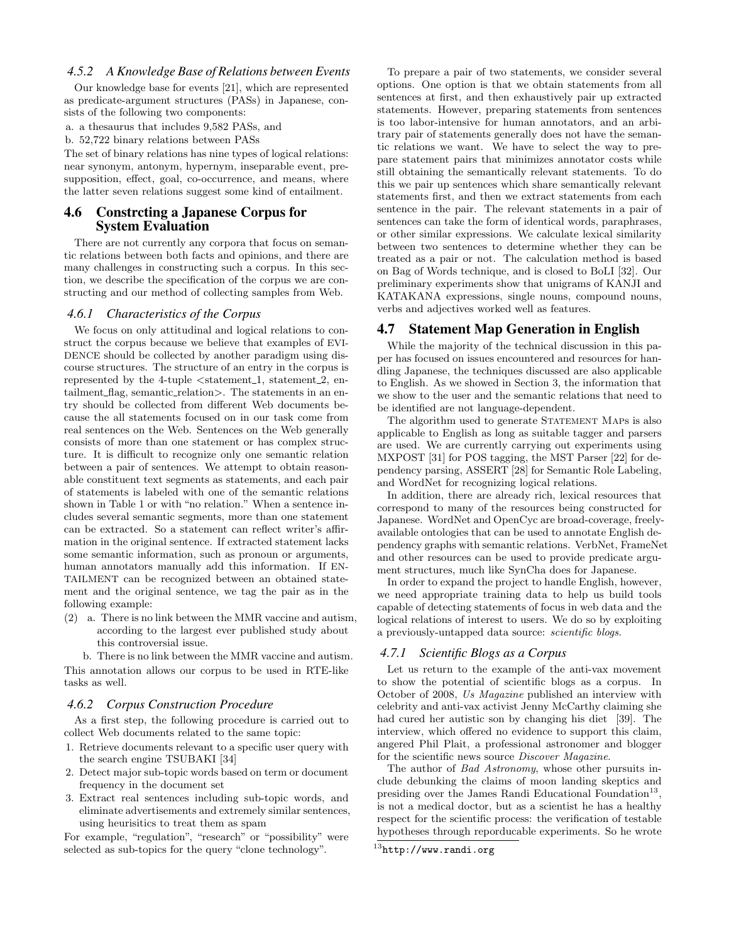#### *4.5.2 A Knowledge Base of Relations between Events*

Our knowledge base for events [21], which are represented as predicate-argument structures (PASs) in Japanese, consists of the following two components:

a. a thesaurus that includes 9,582 PASs, and

b. 52,722 binary relations between PASs

The set of binary relations has nine types of logical relations: near synonym, antonym, hypernym, inseparable event, presupposition, effect, goal, co-occurrence, and means, where the latter seven relations suggest some kind of entailment.

# 4.6 Constrcting a Japanese Corpus for System Evaluation

There are not currently any corpora that focus on semantic relations between both facts and opinions, and there are many challenges in constructing such a corpus. In this section, we describe the specification of the corpus we are constructing and our method of collecting samples from Web.

#### *4.6.1 Characteristics of the Corpus*

We focus on only attitudinal and logical relations to construct the corpus because we believe that examples of EVI-DENCE should be collected by another paradigm using discourse structures. The structure of an entry in the corpus is represented by the 4-tuple  $\lt$  statement 1, statement 2, entailment flag, semantic relation >. The statements in an entry should be collected from different Web documents because the all statements focused on in our task come from real sentences on the Web. Sentences on the Web generally consists of more than one statement or has complex structure. It is difficult to recognize only one semantic relation between a pair of sentences. We attempt to obtain reasonable constituent text segments as statements, and each pair of statements is labeled with one of the semantic relations shown in Table 1 or with "no relation." When a sentence includes several semantic segments, more than one statement can be extracted. So a statement can reflect writer's affirmation in the original sentence. If extracted statement lacks some semantic information, such as pronoun or arguments, human annotators manually add this information. If EN-TAILMENT can be recognized between an obtained statement and the original sentence, we tag the pair as in the following example:

(2) a. There is no link between the MMR vaccine and autism, according to the largest ever published study about this controversial issue.

b. There is no link between the MMR vaccine and autism. This annotation allows our corpus to be used in RTE-like tasks as well.

#### *4.6.2 Corpus Construction Procedure*

As a first step, the following procedure is carried out to collect Web documents related to the same topic:

- 1. Retrieve documents relevant to a specific user query with the search engine TSUBAKI [34]
- 2. Detect major sub-topic words based on term or document frequency in the document set
- 3. Extract real sentences including sub-topic words, and eliminate advertisements and extremely similar sentences, using heurisitics to treat them as spam

For example, "regulation", "research" or "possibility" were selected as sub-topics for the query "clone technology".

To prepare a pair of two statements, we consider several options. One option is that we obtain statements from all sentences at first, and then exhaustively pair up extracted statements. However, preparing statements from sentences is too labor-intensive for human annotators, and an arbitrary pair of statements generally does not have the semantic relations we want. We have to select the way to prepare statement pairs that minimizes annotator costs while still obtaining the semantically relevant statements. To do this we pair up sentences which share semantically relevant statements first, and then we extract statements from each sentence in the pair. The relevant statements in a pair of sentences can take the form of identical words, paraphrases, or other similar expressions. We calculate lexical similarity between two sentences to determine whether they can be treated as a pair or not. The calculation method is based on Bag of Words technique, and is closed to BoLI [32]. Our preliminary experiments show that unigrams of KANJI and KATAKANA expressions, single nouns, compound nouns, verbs and adjectives worked well as features.

#### 4.7 Statement Map Generation in English

While the majority of the technical discussion in this paper has focused on issues encountered and resources for handling Japanese, the techniques discussed are also applicable to English. As we showed in Section 3, the information that we show to the user and the semantic relations that need to be identified are not language-dependent.

The algorithm used to generate STATEMENT MAPS is also applicable to English as long as suitable tagger and parsers are used. We are currently carrying out experiments using MXPOST [31] for POS tagging, the MST Parser [22] for dependency parsing, ASSERT [28] for Semantic Role Labeling, and WordNet for recognizing logical relations.

In addition, there are already rich, lexical resources that correspond to many of the resources being constructed for Japanese. WordNet and OpenCyc are broad-coverage, freelyavailable ontologies that can be used to annotate English dependency graphs with semantic relations. VerbNet, FrameNet and other resources can be used to provide predicate argument structures, much like SynCha does for Japanese.

In order to expand the project to handle English, however, we need appropriate training data to help us build tools capable of detecting statements of focus in web data and the logical relations of interest to users. We do so by exploiting a previously-untapped data source: scientific blogs.

#### *4.7.1 Scientific Blogs as a Corpus*

Let us return to the example of the anti-vax movement to show the potential of scientific blogs as a corpus. In October of 2008, Us Magazine published an interview with celebrity and anti-vax activist Jenny McCarthy claiming she had cured her autistic son by changing his diet [39]. The interview, which offered no evidence to support this claim, angered Phil Plait, a professional astronomer and blogger for the scientific news source Discover Magazine.

The author of Bad Astronomy, whose other pursuits include debunking the claims of moon landing skeptics and presiding over the James Randi Educational Foundation<sup>13</sup>, is not a medical doctor, but as a scientist he has a healthy respect for the scientific process: the verification of testable hypotheses through reporducable experiments. So he wrote

 $^{13}$ http://www.randi.org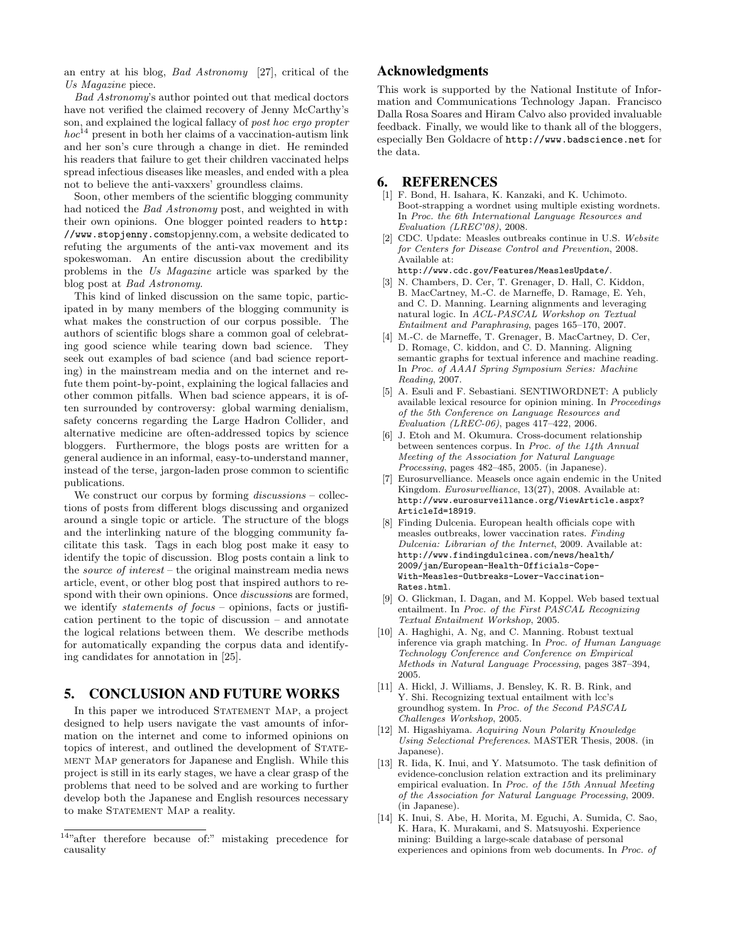an entry at his blog, Bad Astronomy [27], critical of the Us Magazine piece.

Bad Astronomy's author pointed out that medical doctors have not verified the claimed recovery of Jenny McCarthy's son, and explained the logical fallacy of post hoc ergo propter  $hoc^{14}$  present in both her claims of a vaccination-autism link and her son's cure through a change in diet. He reminded his readers that failure to get their children vaccinated helps spread infectious diseases like measles, and ended with a plea not to believe the anti-vaxxers' groundless claims.

Soon, other members of the scientific blogging community had noticed the Bad Astronomy post, and weighted in with their own opinions. One blogger pointed readers to http: //www.stopjenny.comstopjenny.com, a website dedicated to refuting the arguments of the anti-vax movement and its spokeswoman. An entire discussion about the credibility problems in the Us Magazine article was sparked by the blog post at Bad Astronomy.

This kind of linked discussion on the same topic, participated in by many members of the blogging community is what makes the construction of our corpus possible. The authors of scientific blogs share a common goal of celebrating good science while tearing down bad science. They seek out examples of bad science (and bad science reporting) in the mainstream media and on the internet and refute them point-by-point, explaining the logical fallacies and other common pitfalls. When bad science appears, it is often surrounded by controversy: global warming denialism, safety concerns regarding the Large Hadron Collider, and alternative medicine are often-addressed topics by science bloggers. Furthermore, the blogs posts are written for a general audience in an informal, easy-to-understand manner, instead of the terse, jargon-laden prose common to scientific publications.

We construct our corpus by forming *discussions* – collections of posts from different blogs discussing and organized around a single topic or article. The structure of the blogs and the interlinking nature of the blogging community facilitate this task. Tags in each blog post make it easy to identify the topic of discussion. Blog posts contain a link to the source of interest – the original mainstream media news article, event, or other blog post that inspired authors to respond with their own opinions. Once *discussions* are formed, we identify *statements of focus* – opinions, facts or justification pertinent to the topic of discussion – and annotate the logical relations between them. We describe methods for automatically expanding the corpus data and identifying candidates for annotation in [25].

# 5. CONCLUSION AND FUTURE WORKS

In this paper we introduced STATEMENT MAP, a project designed to help users navigate the vast amounts of information on the internet and come to informed opinions on topics of interest, and outlined the development of Statement Map generators for Japanese and English. While this project is still in its early stages, we have a clear grasp of the problems that need to be solved and are working to further develop both the Japanese and English resources necessary to make STATEMENT MAP a reality.

## Acknowledgments

This work is supported by the National Institute of Information and Communications Technology Japan. Francisco Dalla Rosa Soares and Hiram Calvo also provided invaluable feedback. Finally, we would like to thank all of the bloggers, especially Ben Goldacre of http://www.badscience.net for the data.

#### 6. REFERENCES

- [1] F. Bond, H. Isahara, K. Kanzaki, and K. Uchimoto. Boot-strapping a wordnet using multiple existing wordnets. In Proc. the 6th International Language Resources and Evaluation (LREC'08), 2008.
- [2] CDC. Update: Measles outbreaks continue in U.S. Website for Centers for Disease Control and Prevention, 2008. Available at:
- http://www.cdc.gov/Features/MeaslesUpdate/.
- [3] N. Chambers, D. Cer, T. Grenager, D. Hall, C. Kiddon, B. MacCartney, M.-C. de Marneffe, D. Ramage, E. Yeh, and C. D. Manning. Learning alignments and leveraging natural logic. In ACL-PASCAL Workshop on Textual Entailment and Paraphrasing, pages 165–170, 2007.
- [4] M.-C. de Marneffe, T. Grenager, B. MacCartney, D. Cer, D. Romage, C. kiddon, and C. D. Manning. Aligning semantic graphs for textual inference and machine reading. In Proc. of AAAI Spring Symposium Series: Machine Reading, 2007.
- [5] A. Esuli and F. Sebastiani. SENTIWORDNET: A publicly available lexical resource for opinion mining. In Proceedings of the 5th Conference on Language Resources and  $Evaluation (LREC-06)$ , pages 417-422, 2006.
- [6] J. Etoh and M. Okumura. Cross-document relationship between sentences corpus. In Proc. of the 14th Annual Meeting of the Association for Natural Language Processing, pages 482–485, 2005. (in Japanese).
- [7] Eurosurvelliance. Measels once again endemic in the United Kingdom. Eurosurvelliance, 13(27), 2008. Available at: http://www.eurosurveillance.org/ViewArticle.aspx? ArticleId=18919.
- [8] Finding Dulcenia. European health officials cope with measles outbreaks, lower vaccination rates. Finding Dulcenia: Librarian of the Internet, 2009. Available at: http://www.findingdulcinea.com/news/health/ 2009/jan/European-Health-Officials-Cope-With-Measles-Outbreaks-Lower-Vaccination-Rates.html.
- [9] O. Glickman, I. Dagan, and M. Koppel. Web based textual entailment. In Proc. of the First PASCAL Recognizing Textual Entailment Workshop, 2005.
- [10] A. Haghighi, A. Ng, and C. Manning. Robust textual inference via graph matching. In Proc. of Human Language Technology Conference and Conference on Empirical Methods in Natural Language Processing, pages 387–394, 2005.
- [11] A. Hickl, J. Williams, J. Bensley, K. R. B. Rink, and Y. Shi. Recognizing textual entailment with lcc's groundhog system. In Proc. of the Second PASCAL Challenges Workshop, 2005.
- [12] M. Higashiyama. Acquiring Noun Polarity Knowledge Using Selectional Preferences. MASTER Thesis, 2008. (in Japanese).
- [13] R. Iida, K. Inui, and Y. Matsumoto. The task definition of evidence-conclusion relation extraction and its preliminary empirical evaluation. In Proc. of the 15th Annual Meeting of the Association for Natural Language Processing, 2009. (in Japanese).
- [14] K. Inui, S. Abe, H. Morita, M. Eguchi, A. Sumida, C. Sao, K. Hara, K. Murakami, and S. Matsuyoshi. Experience mining: Building a large-scale database of personal experiences and opinions from web documents. In Proc. of

<sup>14&</sup>quot;after therefore because of:" mistaking precedence for causality